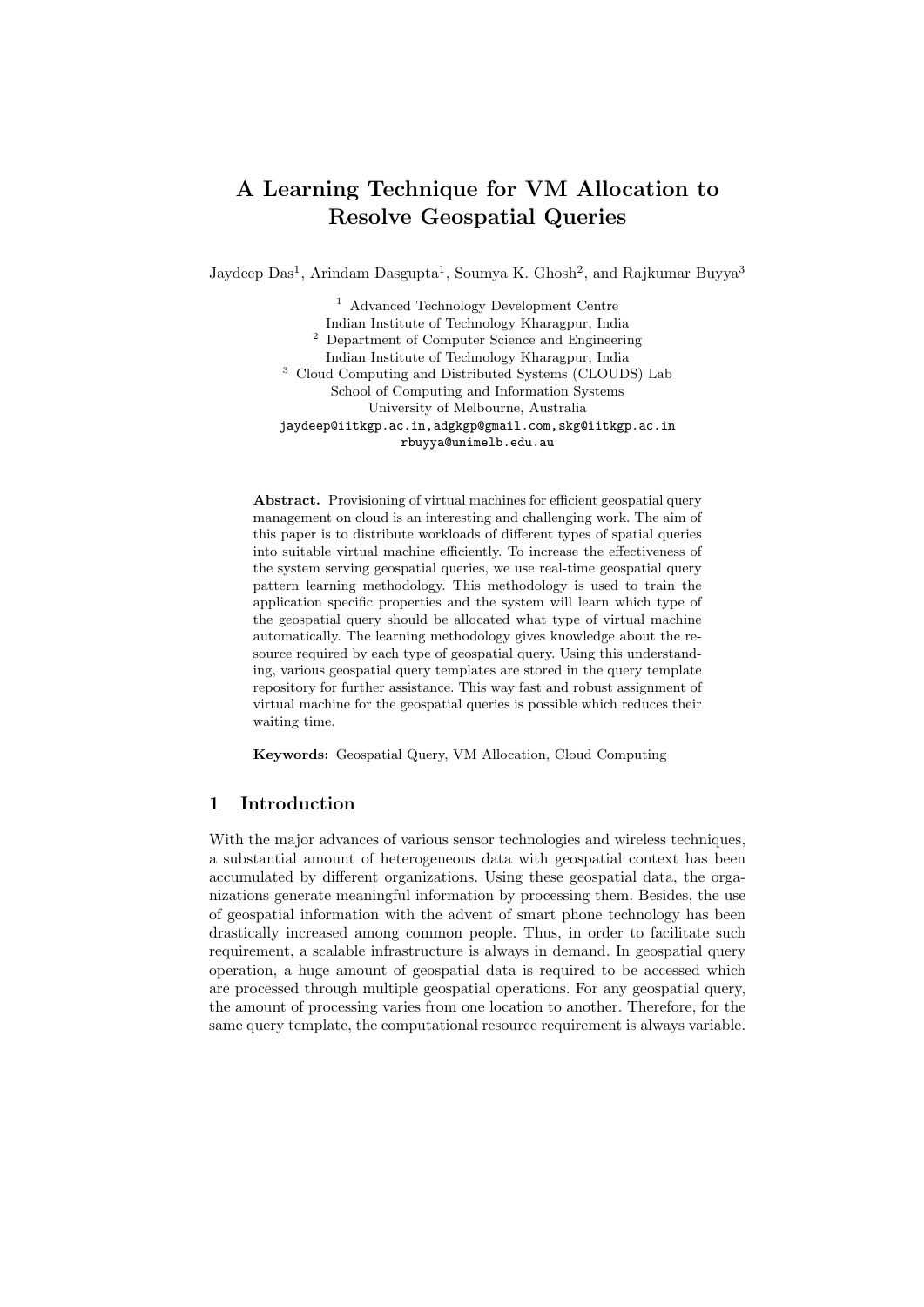# A Learning Technique for VM Allocation to Resolve Geospatial Queries

Jaydeep Das<sup>1</sup>, Arindam Dasgupta<sup>1</sup>, Soumya K. Ghosh<sup>2</sup>, and Rajkumar Buyya<sup>3</sup>

<sup>1</sup> Advanced Technology Development Centre Indian Institute of Technology Kharagpur, India <sup>2</sup> Department of Computer Science and Engineering Indian Institute of Technology Kharagpur, India <sup>3</sup> Cloud Computing and Distributed Systems (CLOUDS) Lab School of Computing and Information Systems University of Melbourne, Australia jaydeep@iitkgp.ac.in,adgkgp@gmail.com,skg@iitkgp.ac.in rbuyya@unimelb.edu.au

Abstract. Provisioning of virtual machines for efficient geospatial query management on cloud is an interesting and challenging work. The aim of this paper is to distribute workloads of different types of spatial queries into suitable virtual machine efficiently. To increase the effectiveness of the system serving geospatial queries, we use real-time geospatial query pattern learning methodology. This methodology is used to train the application specific properties and the system will learn which type of the geospatial query should be allocated what type of virtual machine automatically. The learning methodology gives knowledge about the resource required by each type of geospatial query. Using this understanding, various geospatial query templates are stored in the query template repository for further assistance. This way fast and robust assignment of virtual machine for the geospatial queries is possible which reduces their waiting time.

Keywords: Geospatial Query, VM Allocation, Cloud Computing

#### 1 Introduction

With the major advances of various sensor technologies and wireless techniques, a substantial amount of heterogeneous data with geospatial context has been accumulated by different organizations. Using these geospatial data, the organizations generate meaningful information by processing them. Besides, the use of geospatial information with the advent of smart phone technology has been drastically increased among common people. Thus, in order to facilitate such requirement, a scalable infrastructure is always in demand. In geospatial query operation, a huge amount of geospatial data is required to be accessed which are processed through multiple geospatial operations. For any geospatial query, the amount of processing varies from one location to another. Therefore, for the same query template, the computational resource requirement is always variable.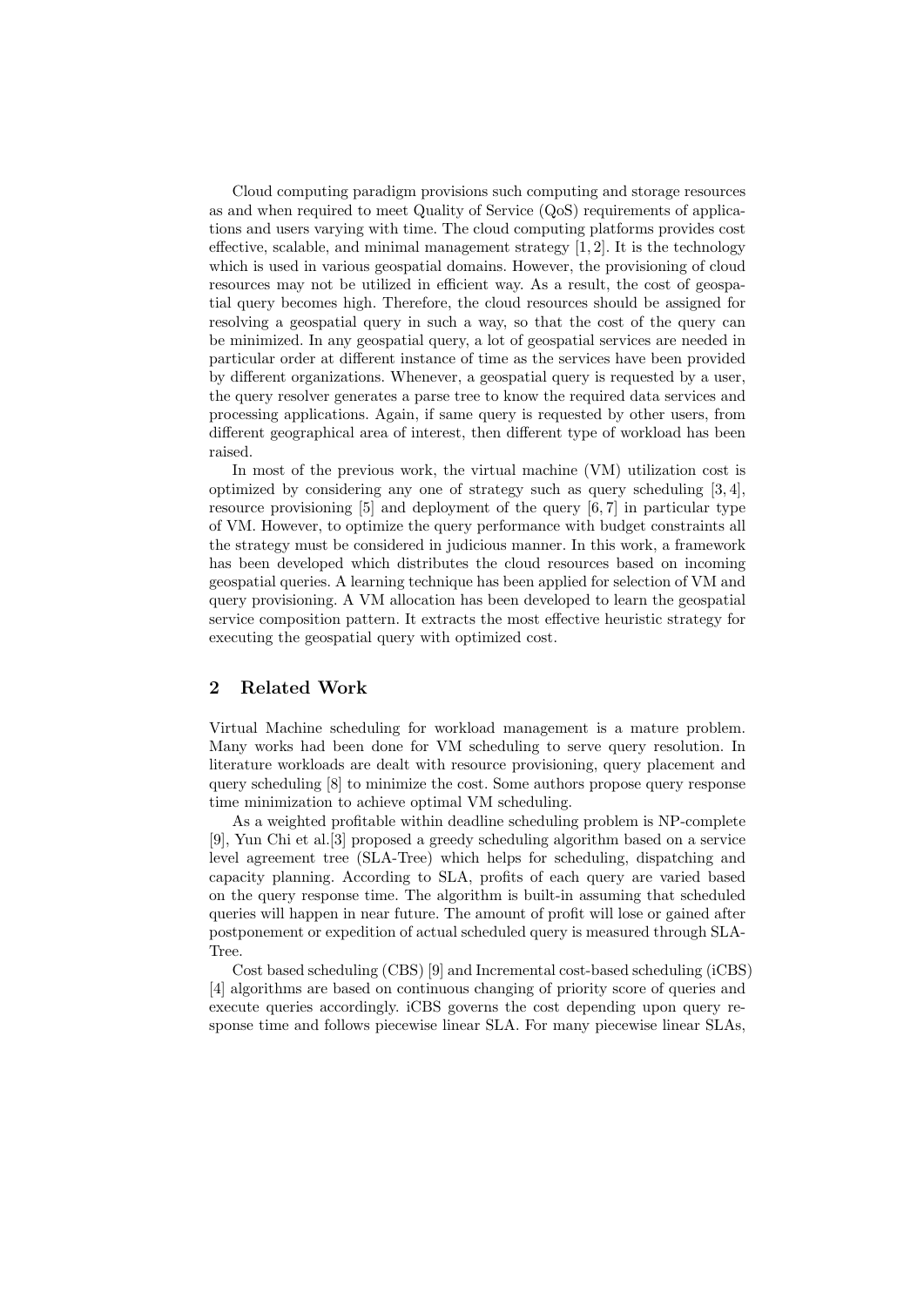Cloud computing paradigm provisions such computing and storage resources as and when required to meet Quality of Service (QoS) requirements of applications and users varying with time. The cloud computing platforms provides cost effective, scalable, and minimal management strategy  $[1, 2]$ . It is the technology which is used in various geospatial domains. However, the provisioning of cloud resources may not be utilized in efficient way. As a result, the cost of geospatial query becomes high. Therefore, the cloud resources should be assigned for resolving a geospatial query in such a way, so that the cost of the query can be minimized. In any geospatial query, a lot of geospatial services are needed in particular order at different instance of time as the services have been provided by different organizations. Whenever, a geospatial query is requested by a user, the query resolver generates a parse tree to know the required data services and processing applications. Again, if same query is requested by other users, from different geographical area of interest, then different type of workload has been raised.

In most of the previous work, the virtual machine (VM) utilization cost is optimized by considering any one of strategy such as query scheduling [3, 4], resource provisioning [5] and deployment of the query [6, 7] in particular type of VM. However, to optimize the query performance with budget constraints all the strategy must be considered in judicious manner. In this work, a framework has been developed which distributes the cloud resources based on incoming geospatial queries. A learning technique has been applied for selection of VM and query provisioning. A VM allocation has been developed to learn the geospatial service composition pattern. It extracts the most effective heuristic strategy for executing the geospatial query with optimized cost.

# 2 Related Work

Virtual Machine scheduling for workload management is a mature problem. Many works had been done for VM scheduling to serve query resolution. In literature workloads are dealt with resource provisioning, query placement and query scheduling [8] to minimize the cost. Some authors propose query response time minimization to achieve optimal VM scheduling.

As a weighted profitable within deadline scheduling problem is NP-complete [9], Yun Chi et al.[3] proposed a greedy scheduling algorithm based on a service level agreement tree (SLA-Tree) which helps for scheduling, dispatching and capacity planning. According to SLA, profits of each query are varied based on the query response time. The algorithm is built-in assuming that scheduled queries will happen in near future. The amount of profit will lose or gained after postponement or expedition of actual scheduled query is measured through SLA-Tree.

Cost based scheduling (CBS) [9] and Incremental cost-based scheduling (iCBS) [4] algorithms are based on continuous changing of priority score of queries and execute queries accordingly. iCBS governs the cost depending upon query response time and follows piecewise linear SLA. For many piecewise linear SLAs,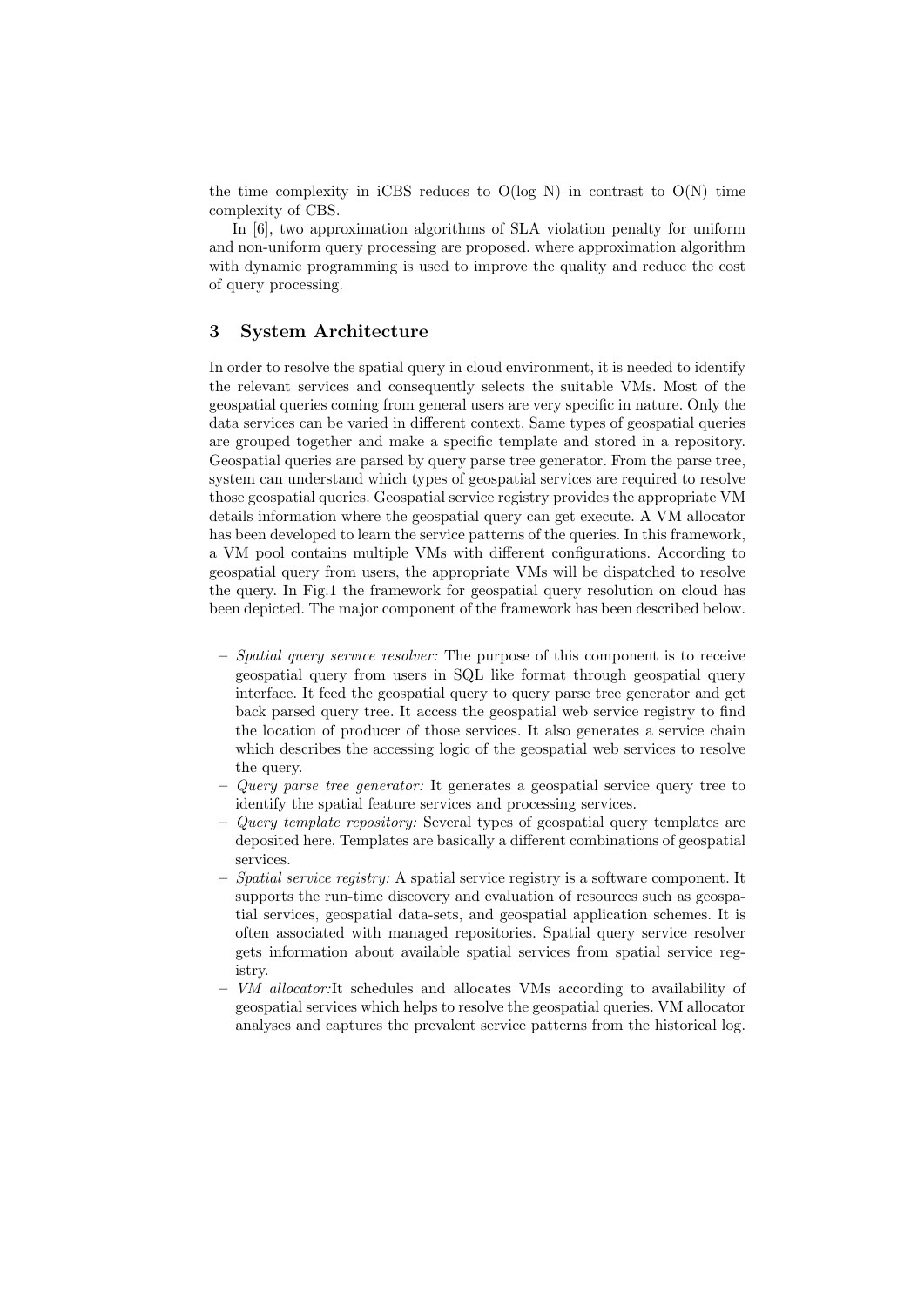the time complexity in iCBS reduces to  $O(log N)$  in contrast to  $O(N)$  time complexity of CBS.

In [6], two approximation algorithms of SLA violation penalty for uniform and non-uniform query processing are proposed. where approximation algorithm with dynamic programming is used to improve the quality and reduce the cost of query processing.

### 3 System Architecture

In order to resolve the spatial query in cloud environment, it is needed to identify the relevant services and consequently selects the suitable VMs. Most of the geospatial queries coming from general users are very specific in nature. Only the data services can be varied in different context. Same types of geospatial queries are grouped together and make a specific template and stored in a repository. Geospatial queries are parsed by query parse tree generator. From the parse tree, system can understand which types of geospatial services are required to resolve those geospatial queries. Geospatial service registry provides the appropriate VM details information where the geospatial query can get execute. A VM allocator has been developed to learn the service patterns of the queries. In this framework, a VM pool contains multiple VMs with different configurations. According to geospatial query from users, the appropriate VMs will be dispatched to resolve the query. In Fig.1 the framework for geospatial query resolution on cloud has been depicted. The major component of the framework has been described below.

- $-$  Spatial query service resolver: The purpose of this component is to receive geospatial query from users in SQL like format through geospatial query interface. It feed the geospatial query to query parse tree generator and get back parsed query tree. It access the geospatial web service registry to find the location of producer of those services. It also generates a service chain which describes the accessing logic of the geospatial web services to resolve the query.
- Query parse tree generator: It generates a geospatial service query tree to identify the spatial feature services and processing services.
- $-$  Query template repository: Several types of geospatial query templates are deposited here. Templates are basically a different combinations of geospatial services.
- $-$  Spatial service registry: A spatial service registry is a software component. It supports the run-time discovery and evaluation of resources such as geospatial services, geospatial data-sets, and geospatial application schemes. It is often associated with managed repositories. Spatial query service resolver gets information about available spatial services from spatial service registry.
- VM allocator:It schedules and allocates VMs according to availability of geospatial services which helps to resolve the geospatial queries. VM allocator analyses and captures the prevalent service patterns from the historical log.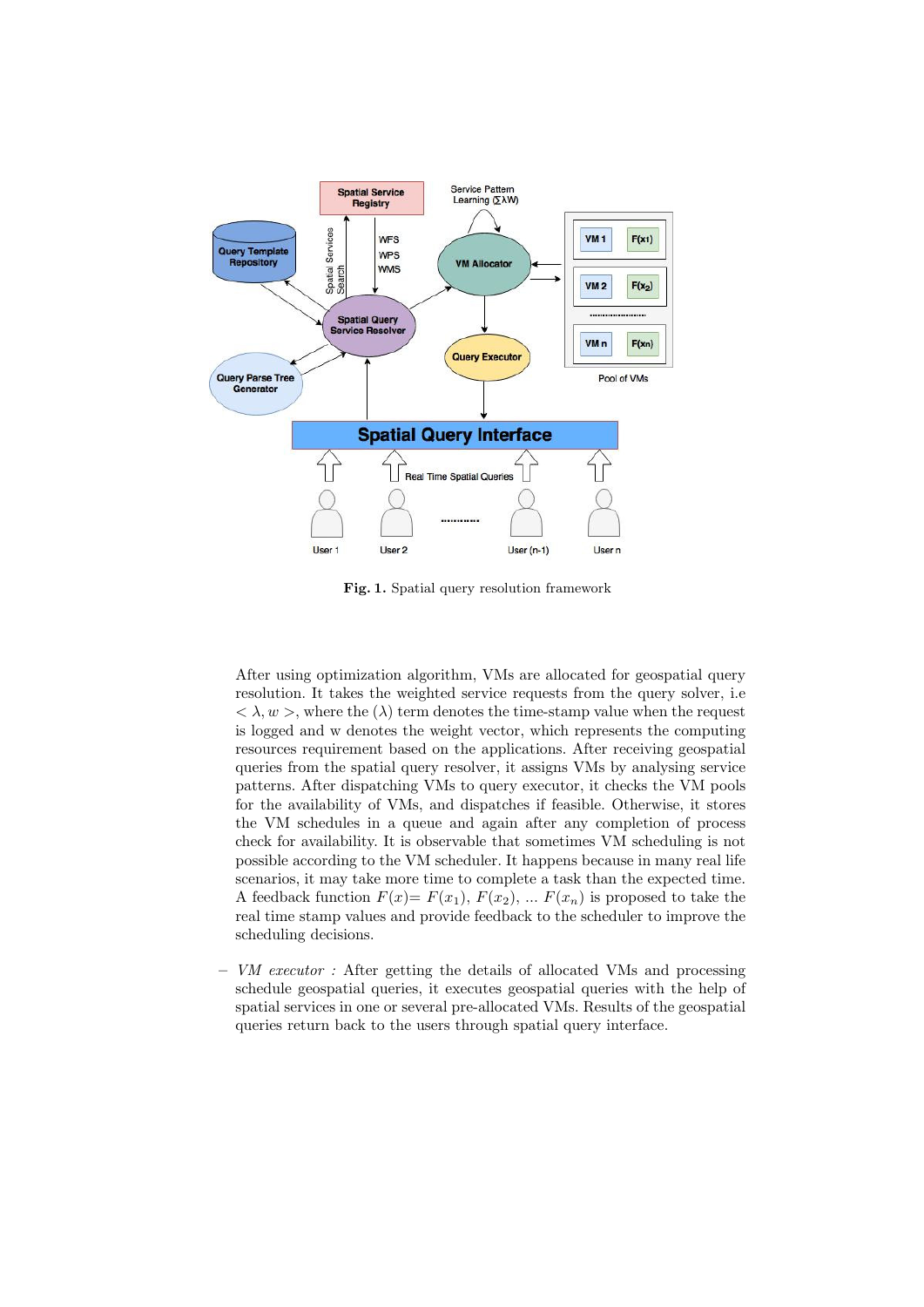

Fig. 1. Spatial query resolution framework

After using optimization algorithm, VMs are allocated for geospatial query resolution. It takes the weighted service requests from the query solver, i.e  $< \lambda, w >$ , where the  $(\lambda)$  term denotes the time-stamp value when the request is logged and w denotes the weight vector, which represents the computing resources requirement based on the applications. After receiving geospatial queries from the spatial query resolver, it assigns VMs by analysing service patterns. After dispatching VMs to query executor, it checks the VM pools for the availability of VMs, and dispatches if feasible. Otherwise, it stores the VM schedules in a queue and again after any completion of process check for availability. It is observable that sometimes VM scheduling is not possible according to the VM scheduler. It happens because in many real life scenarios, it may take more time to complete a task than the expected time. A feedback function  $F(x) = F(x_1), F(x_2), \ldots F(x_n)$  is proposed to take the real time stamp values and provide feedback to the scheduler to improve the scheduling decisions.

– VM executor : After getting the details of allocated VMs and processing schedule geospatial queries, it executes geospatial queries with the help of spatial services in one or several pre-allocated VMs. Results of the geospatial queries return back to the users through spatial query interface.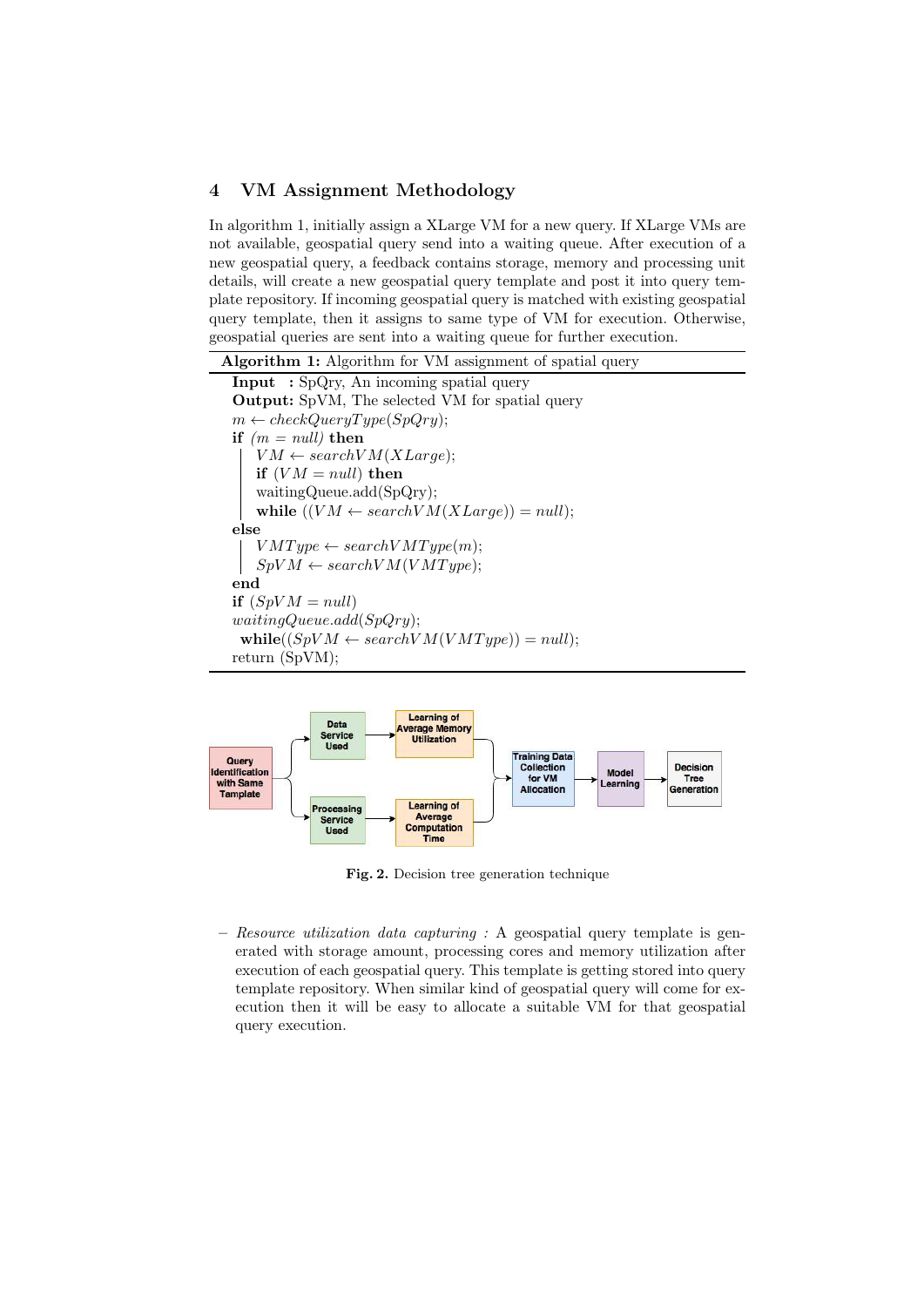#### 4 VM Assignment Methodology

In algorithm 1, initially assign a XLarge VM for a new query. If XLarge VMs are not available, geospatial query send into a waiting queue. After execution of a new geospatial query, a feedback contains storage, memory and processing unit details, will create a new geospatial query template and post it into query template repository. If incoming geospatial query is matched with existing geospatial query template, then it assigns to same type of VM for execution. Otherwise, geospatial queries are sent into a waiting queue for further execution.





Fig. 2. Decision tree generation technique

– Resource utilization data capturing : A geospatial query template is generated with storage amount, processing cores and memory utilization after execution of each geospatial query. This template is getting stored into query template repository. When similar kind of geospatial query will come for execution then it will be easy to allocate a suitable VM for that geospatial query execution.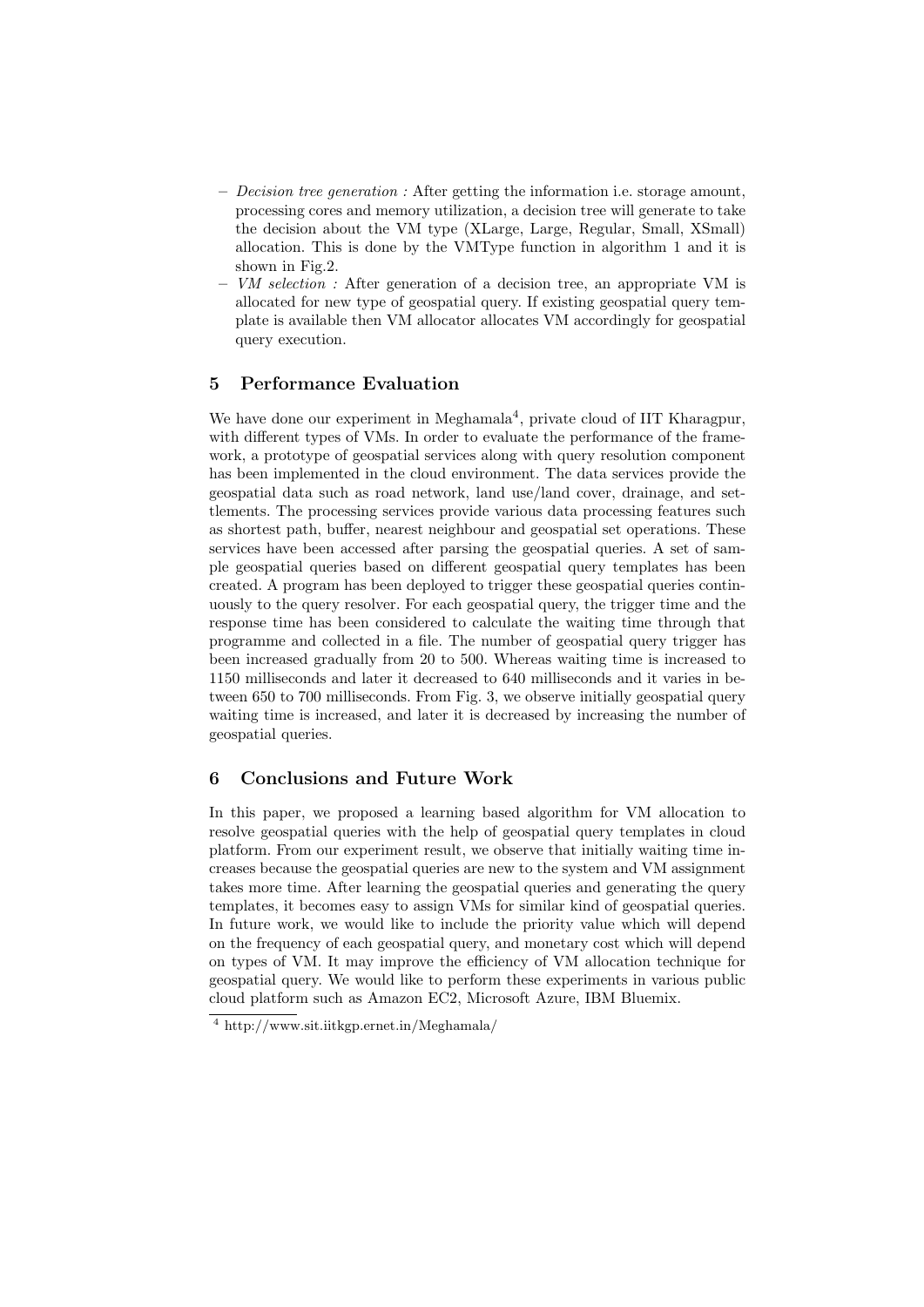- $-$  *Decision tree generation :* After getting the information i.e. storage amount, processing cores and memory utilization, a decision tree will generate to take the decision about the VM type (XLarge, Large, Regular, Small, XSmall) allocation. This is done by the VMType function in algorithm 1 and it is shown in Fig.2.
- $-$  VM selection : After generation of a decision tree, an appropriate VM is allocated for new type of geospatial query. If existing geospatial query template is available then VM allocator allocates VM accordingly for geospatial query execution.

# 5 Performance Evaluation

We have done our experiment in Meghamala<sup>4</sup>, private cloud of IIT Kharagpur, with different types of VMs. In order to evaluate the performance of the framework, a prototype of geospatial services along with query resolution component has been implemented in the cloud environment. The data services provide the geospatial data such as road network, land use/land cover, drainage, and settlements. The processing services provide various data processing features such as shortest path, buffer, nearest neighbour and geospatial set operations. These services have been accessed after parsing the geospatial queries. A set of sample geospatial queries based on different geospatial query templates has been created. A program has been deployed to trigger these geospatial queries continuously to the query resolver. For each geospatial query, the trigger time and the response time has been considered to calculate the waiting time through that programme and collected in a file. The number of geospatial query trigger has been increased gradually from 20 to 500. Whereas waiting time is increased to 1150 milliseconds and later it decreased to 640 milliseconds and it varies in between 650 to 700 milliseconds. From Fig. 3, we observe initially geospatial query waiting time is increased, and later it is decreased by increasing the number of geospatial queries.

# 6 Conclusions and Future Work

In this paper, we proposed a learning based algorithm for VM allocation to resolve geospatial queries with the help of geospatial query templates in cloud platform. From our experiment result, we observe that initially waiting time increases because the geospatial queries are new to the system and VM assignment takes more time. After learning the geospatial queries and generating the query templates, it becomes easy to assign VMs for similar kind of geospatial queries. In future work, we would like to include the priority value which will depend on the frequency of each geospatial query, and monetary cost which will depend on types of VM. It may improve the efficiency of VM allocation technique for geospatial query. We would like to perform these experiments in various public cloud platform such as Amazon EC2, Microsoft Azure, IBM Bluemix.

<sup>4</sup> http://www.sit.iitkgp.ernet.in/Meghamala/